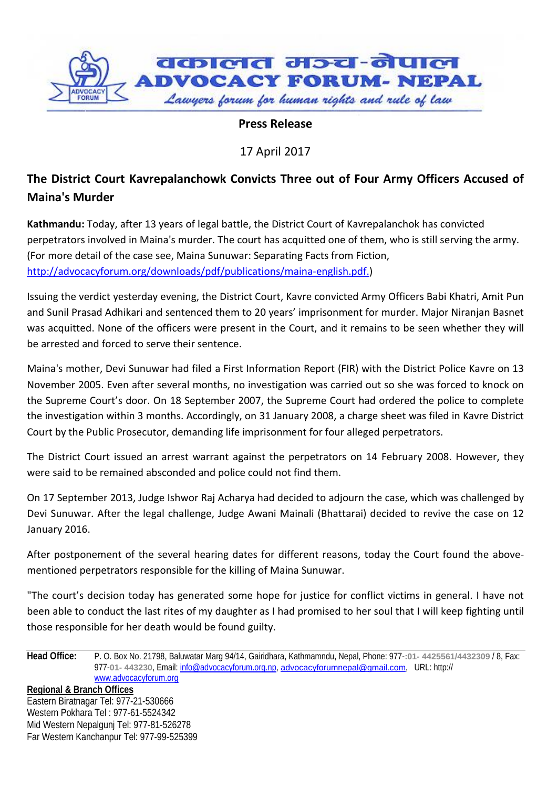

**Press Release**

17 April 2017

## **The District Court Kavrepalanchowk Convicts Three out of Four Army Officers Accused of Maina's Murder**

**Kathmandu:** Today, after 13 years of legal battle, the District Court of Kavrepalanchok has convicted perpetrators involved in Maina's murder. The court has acquitted one of them, who is still serving the army. (For more detail of the case see, Maina Sunuwar: Separating Facts from Fiction, [http://advocacyforum.org/downloads/pdf/publications/maina-english.pdf.](http://advocacyforum.org/downloads/pdf/publications/maina-english.pdf))

Issuing the verdict yesterday evening, the District Court, Kavre convicted Army Officers Babi Khatri, Amit Pun and Sunil Prasad Adhikari and sentenced them to 20 years' imprisonment for murder. Major Niranjan Basnet was acquitted. None of the officers were present in the Court, and it remains to be seen whether they will be arrested and forced to serve their sentence.

Maina's mother, Devi Sunuwar had filed a First Information Report (FIR) with the District Police Kavre on 13 November 2005. Even after several months, no investigation was carried out so she was forced to knock on the Supreme Court's door. On 18 September 2007, the Supreme Court had ordered the police to complete the investigation within 3 months. Accordingly, on 31 January 2008, a charge sheet was filed in Kavre District Court by the Public Prosecutor, demanding life imprisonment for four alleged perpetrators.

The District Court issued an arrest warrant against the perpetrators on 14 February 2008. However, they were said to be remained absconded and police could not find them.

On 17 September 2013, Judge Ishwor Raj Acharya had decided to adjourn the case, which was challenged by Devi Sunuwar. After the legal challenge, Judge Awani Mainali (Bhattarai) decided to revive the case on 12 January 2016.

After postponement of the several hearing dates for different reasons, today the Court found the abovementioned perpetrators responsible for the killing of Maina Sunuwar.

"The court's decision today has generated some hope for justice for conflict victims in general. I have not been able to conduct the last rites of my daughter as I had promised to her soul that I will keep fighting until those responsible for her death would be found guilty.

**Head Office:** P. O. Box No. 21798, Baluwatar Marg 94/14, Gairidhara, Kathmamndu, Nepal, Phone: 977-**:01- 4425561/4432309** / 8, Fax: 977-**01- 443230**, Email: [info@advocacyforum.org.np,](mailto:info@advocacyforum.org.np) [advocacyforumnepal@gmail.com](mailto:advocacyforumnepal@gmail.com), URL: http:// [www.advocacyforum.org](http://www.advocacyforum.org/)

**Regional & Branch Offices** Eastern Biratnagar Tel: 977-21-530666 Western Pokhara Tel : 977-61-5524342 Mid Western Nepalgunj Tel: 977-81-526278 Far Western Kanchanpur Tel: 977-99-525399